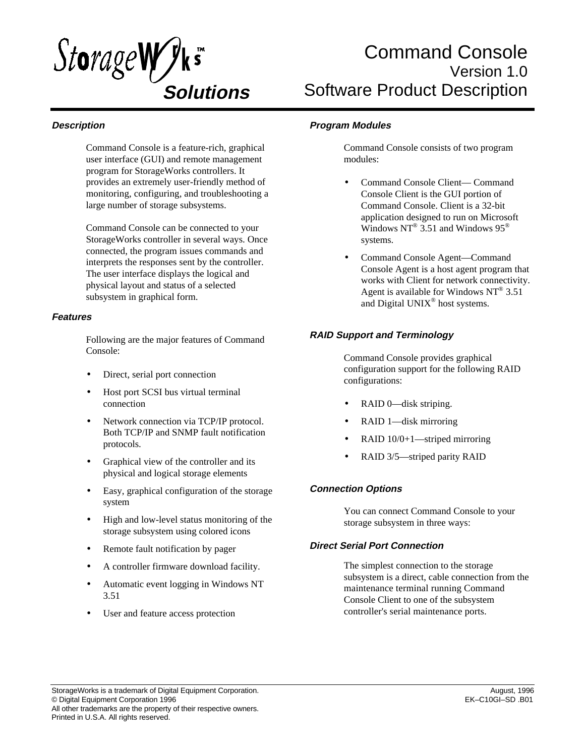

# Command Console Version 1.0 Software Product Description

# **Description**

Command Console is a feature-rich, graphical user interface (GUI) and remote management program for StorageWorks controllers. It provides an extremely user-friendly method of monitoring, configuring, and troubleshooting a large number of storage subsystems.

Command Console can be connected to your StorageWorks controller in several ways. Once connected, the program issues commands and interprets the responses sent by the controller. The user interface displays the logical and physical layout and status of a selected subsystem in graphical form.

## **Features**

Following are the major features of Command Console:

- Direct, serial port connection
- Host port SCSI bus virtual terminal connection
- Network connection via TCP/IP protocol. Both TCP/IP and SNMP fault notification protocols.
- Graphical view of the controller and its physical and logical storage elements
- Easy, graphical configuration of the storage system
- High and low-level status monitoring of the storage subsystem using colored icons
- Remote fault notification by pager
- A controller firmware download facility.
- Automatic event logging in Windows NT 3.51
- User and feature access protection

## **Program Modules**

Command Console consists of two program modules:

- Command Console Client— Command Console Client is the GUI portion of Command Console. Client is a 32-bit application designed to run on Microsoft Windows  $NT^{\circledast}$  3.51 and Windows 95<sup>\otimes</sup> systems.
- Command Console Agent—Command Console Agent is a host agent program that works with Client for network connectivity. Agent is available for Windows  $NT^{\circledast}$  3.51 and Digital UNIX® host systems.

# **RAID Support and Terminology**

Command Console provides graphical configuration support for the following RAID configurations:

- RAID 0-disk striping.
- RAID 1—disk mirroring
- RAID 10/0+1—striped mirroring
- RAID 3/5—striped parity RAID

## **Connection Options**

You can connect Command Console to your storage subsystem in three ways:

## **Direct Serial Port Connection**

The simplest connection to the storage subsystem is a direct, cable connection from the maintenance terminal running Command Console Client to one of the subsystem controller's serial maintenance ports.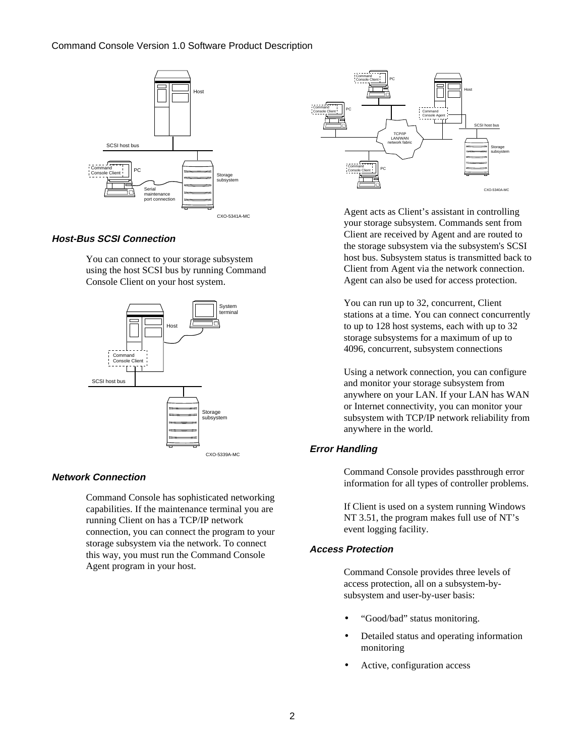## Command Console Version 1.0 Software Product Description



## **Host-Bus SCSI Connection**

You can connect to your storage subsystem using the host SCSI bus by running Command Console Client on your host system.



#### **Network Connection**

Command Console has sophisticated networking capabilities. If the maintenance terminal you are running Client on has a TCP/IP network connection, you can connect the program to your storage subsystem via the network. To connect this way, you must run the Command Console Agent program in your host.



Agent acts as Client's assistant in controlling your storage subsystem. Commands sent from Client are received by Agent and are routed to the storage subsystem via the subsystem's SCSI host bus. Subsystem status is transmitted back to Client from Agent via the network connection. Agent can also be used for access protection.

You can run up to 32, concurrent, Client stations at a time. You can connect concurrently to up to 128 host systems, each with up to 32 storage subsystems for a maximum of up to 4096, concurrent, subsystem connections

Using a network connection, you can configure and monitor your storage subsystem from anywhere on your LAN. If your LAN has WAN or Internet connectivity, you can monitor your subsystem with TCP/IP network reliability from anywhere in the world.

# **Error Handling**

Command Console provides passthrough error information for all types of controller problems.

If Client is used on a system running Windows NT 3.51, the program makes full use of NT's event logging facility.

## **Access Protection**

Command Console provides three levels of access protection, all on a subsystem-bysubsystem and user-by-user basis:

- "Good/bad" status monitoring.
- Detailed status and operating information monitoring
- Active, configuration access